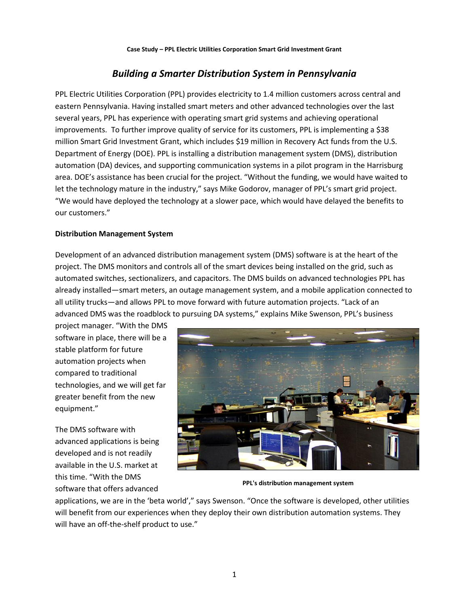# *Building a Smarter Distribution System in Pennsylvania*

PPL Electric Utilities Corporation (PPL) provides electricity to 1.4 million customers across central and eastern Pennsylvania. Having installed smart meters and other advanced technologies over the last several years, PPL has experience with operating smart grid systems and achieving operational improvements. To further improve quality of service for its customers, PPL is implementing a \$38 million Smart Grid Investment Grant, which includes \$19 million in Recovery Act funds from the U.S. Department of Energy (DOE). PPL is installing a distribution management system (DMS), distribution automation (DA) devices, and supporting communication systems in a pilot program in the Harrisburg area. DOE's assistance has been crucial for the project. "Without the funding, we would have waited to let the technology mature in the industry," says Mike Godorov, manager of PPL's smart grid project. "We would have deployed the technology at a slower pace, which would have delayed the benefits to our customers."

### **Distribution Management System**

Development of an advanced distribution management system (DMS) software is at the heart of the project. The DMS monitors and controls all of the smart devices being installed on the grid, such as automated switches, sectionalizers, and capacitors. The DMS builds on advanced technologies PPL has already installed—smart meters, an outage management system, and a mobile application connected to all utility trucks—and allows PPL to move forward with future automation projects. "Lack of an advanced DMS was the roadblock to pursuing DA systems," explains Mike Swenson, PPL's business

project manager. "With the DMS software in place, there will be a stable platform for future automation projects when compared to traditional technologies, and we will get far greater benefit from the new equipment."

The DMS software with advanced applications is being developed and is not readily available in the U.S. market at this time. "With the DMS software that offers advanced



**PPL's distribution management system**

applications, we are in the 'beta world'," says Swenson. "Once the software is developed, other utilities will benefit from our experiences when they deploy their own distribution automation systems. They will have an off-the-shelf product to use."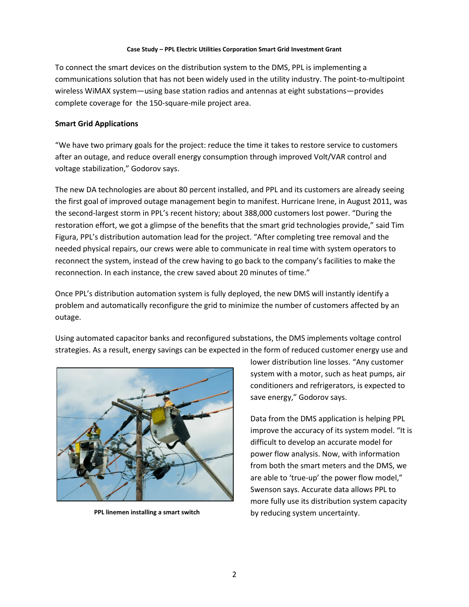### **Case Study – PPL Electric Utilities Corporation Smart Grid Investment Grant**

To connect the smart devices on the distribution system to the DMS, PPL is implementing a communications solution that has not been widely used in the utility industry. The point-to-multipoint wireless WiMAX system—using base station radios and antennas at eight substations—provides complete coverage for the 150-square-mile project area.

### **Smart Grid Applications**

"We have two primary goals for the project: reduce the time it takes to restore service to customers after an outage, and reduce overall energy consumption through improved Volt/VAR control and voltage stabilization," Godorov says.

The new DA technologies are about 80 percent installed, and PPL and its customers are already seeing the first goal of improved outage management begin to manifest. Hurricane Irene, in August 2011, was the second-largest storm in PPL's recent history; about 388,000 customers lost power. "During the restoration effort, we got a glimpse of the benefits that the smart grid technologies provide," said Tim Figura, PPL's distribution automation lead for the project. "After completing tree removal and the needed physical repairs, our crews were able to communicate in real time with system operators to reconnect the system, instead of the crew having to go back to the company's facilities to make the reconnection. In each instance, the crew saved about 20 minutes of time."

Once PPL's distribution automation system is fully deployed, the new DMS will instantly identify a problem and automatically reconfigure the grid to minimize the number of customers affected by an outage.

Using automated capacitor banks and reconfigured substations, the DMS implements voltage control strategies. As a result, energy savings can be expected in the form of reduced customer energy use and



**PPL linemen installing a smart switch**

lower distribution line losses. "Any customer system with a motor, such as heat pumps, air conditioners and refrigerators, is expected to save energy," Godorov says.

Data from the DMS application is helping PPL improve the accuracy of its system model. "It is difficult to develop an accurate model for power flow analysis. Now, with information from both the smart meters and the DMS, we are able to 'true-up' the power flow model," Swenson says. Accurate data allows PPL to more fully use its distribution system capacity by reducing system uncertainty.